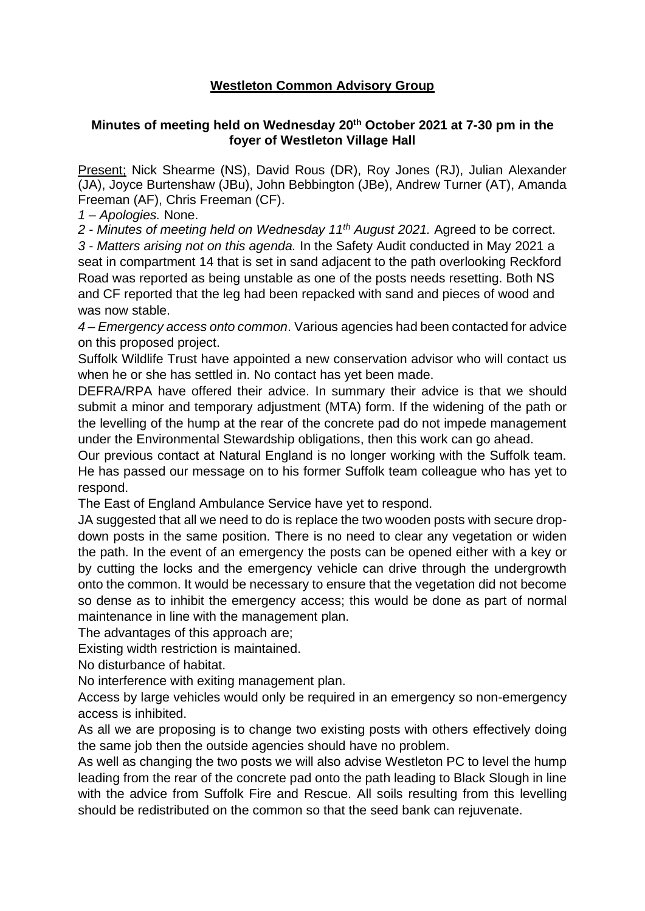## **Westleton Common Advisory Group**

## **Minutes of meeting held on Wednesday 20th October 2021 at 7-30 pm in the foyer of Westleton Village Hall**

Present; Nick Shearme (NS), David Rous (DR), Roy Jones (RJ), Julian Alexander (JA), Joyce Burtenshaw (JBu), John Bebbington (JBe), Andrew Turner (AT), Amanda Freeman (AF), Chris Freeman (CF).

*1 – Apologies.* None.

*2 - Minutes of meeting held on Wednesday 11th August 2021.* Agreed to be correct.

*3 - Matters arising not on this agenda.* In the Safety Audit conducted in May 2021 a seat in compartment 14 that is set in sand adjacent to the path overlooking Reckford Road was reported as being unstable as one of the posts needs resetting. Both NS and CF reported that the leg had been repacked with sand and pieces of wood and was now stable.

*4 – Emergency access onto common*. Various agencies had been contacted for advice on this proposed project.

Suffolk Wildlife Trust have appointed a new conservation advisor who will contact us when he or she has settled in. No contact has yet been made.

DEFRA/RPA have offered their advice. In summary their advice is that we should submit a minor and temporary adjustment (MTA) form. If the widening of the path or the levelling of the hump at the rear of the concrete pad do not impede management under the Environmental Stewardship obligations, then this work can go ahead.

Our previous contact at Natural England is no longer working with the Suffolk team. He has passed our message on to his former Suffolk team colleague who has yet to respond.

The East of England Ambulance Service have yet to respond.

JA suggested that all we need to do is replace the two wooden posts with secure dropdown posts in the same position. There is no need to clear any vegetation or widen the path. In the event of an emergency the posts can be opened either with a key or by cutting the locks and the emergency vehicle can drive through the undergrowth onto the common. It would be necessary to ensure that the vegetation did not become so dense as to inhibit the emergency access; this would be done as part of normal maintenance in line with the management plan.

The advantages of this approach are;

Existing width restriction is maintained.

No disturbance of habitat.

No interference with exiting management plan.

Access by large vehicles would only be required in an emergency so non-emergency access is inhibited.

As all we are proposing is to change two existing posts with others effectively doing the same job then the outside agencies should have no problem.

As well as changing the two posts we will also advise Westleton PC to level the hump leading from the rear of the concrete pad onto the path leading to Black Slough in line with the advice from Suffolk Fire and Rescue. All soils resulting from this levelling should be redistributed on the common so that the seed bank can rejuvenate.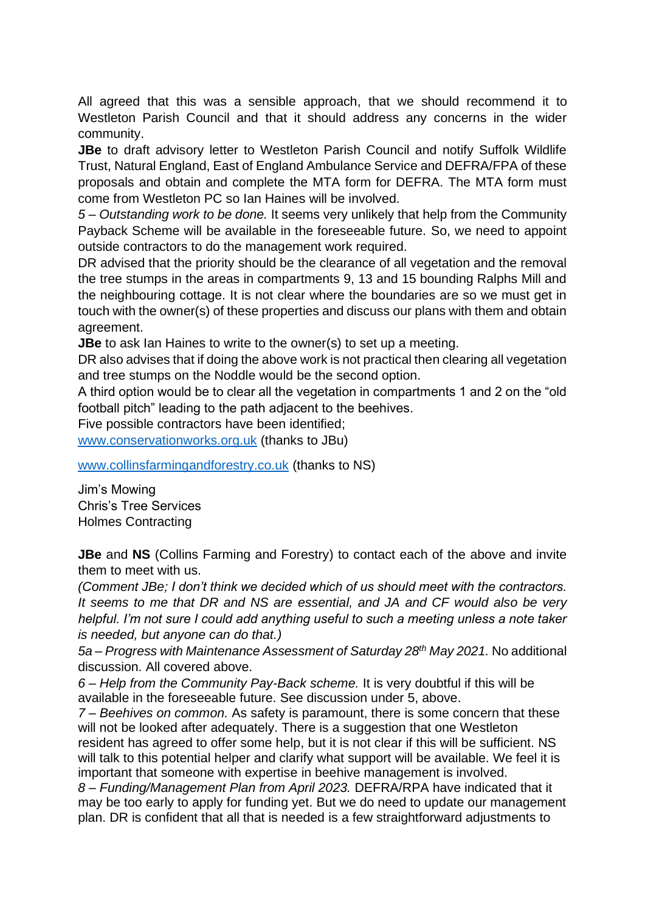All agreed that this was a sensible approach, that we should recommend it to Westleton Parish Council and that it should address any concerns in the wider community.

**JBe** to draft advisory letter to Westleton Parish Council and notify Suffolk Wildlife Trust, Natural England, East of England Ambulance Service and DEFRA/FPA of these proposals and obtain and complete the MTA form for DEFRA. The MTA form must come from Westleton PC so Ian Haines will be involved.

*5 – Outstanding work to be done.* It seems very unlikely that help from the Community Payback Scheme will be available in the foreseeable future. So, we need to appoint outside contractors to do the management work required.

DR advised that the priority should be the clearance of all vegetation and the removal the tree stumps in the areas in compartments 9, 13 and 15 bounding Ralphs Mill and the neighbouring cottage. It is not clear where the boundaries are so we must get in touch with the owner(s) of these properties and discuss our plans with them and obtain agreement.

**JBe** to ask Ian Haines to write to the owner(s) to set up a meeting.

DR also advises that if doing the above work is not practical then clearing all vegetation and tree stumps on the Noddle would be the second option.

A third option would be to clear all the vegetation in compartments 1 and 2 on the "old football pitch" leading to the path adjacent to the beehives.

Five possible contractors have been identified;

[www.conservationworks.org.uk](https://emea01.safelinks.protection.outlook.com/?url=http%3A%2F%2Fwww.conservationworks.org.uk%2F&data=04%7C01%7C%7Caddb6dfde3b14d7da01208d994064f8e%7C84df9e7fe9f640afb435aaaaaaaaaaaa%7C1%7C0%7C637703577085610237%7CUnknown%7CTWFpbGZsb3d8eyJWIjoiMC4wLjAwMDAiLCJQIjoiV2luMzIiLCJBTiI6Ik1haWwiLCJXVCI6Mn0%3D%7C1000&sdata=qnRc3knMYww%2FjFKC4rJUDvg4o%2FDC5hfu2enpkZLv4aU%3D&reserved=0) (thanks to JBu)

[www.collinsfarmingandforestry.co.uk](https://emea01.safelinks.protection.outlook.com/?url=http%3A%2F%2Fwww.collinsfarmingandforestry.co.uk%2F&data=04%7C01%7C%7Ce92868c899e044419a0708d994bdada2%7C84df9e7fe9f640afb435aaaaaaaaaaaa%7C1%7C0%7C637704364648749010%7CUnknown%7CTWFpbGZsb3d8eyJWIjoiMC4wLjAwMDAiLCJQIjoiV2luMzIiLCJBTiI6Ik1haWwiLCJXVCI6Mn0%3D%7C1000&sdata=dJhwU3A1DVDV1Agi%2BV9PWXNQe7p8%2F4XuIzQMzDM6%2BjM%3D&reserved=0) (thanks to NS)

Jim's Mowing Chris's Tree Services Holmes Contracting

**JBe** and **NS** (Collins Farming and Forestry) to contact each of the above and invite them to meet with us.

*(Comment JBe; I don't think we decided which of us should meet with the contractors. It seems to me that DR and NS are essential, and JA and CF would also be very helpful. I'm not sure I could add anything useful to such a meeting unless a note taker is needed, but anyone can do that.)*

*5a – Progress with Maintenance Assessment of Saturday 28th May 2021.* No additional discussion. All covered above.

*6 – Help from the Community Pay-Back scheme.* It is very doubtful if this will be available in the foreseeable future. See discussion under 5, above.

*7 – Beehives on common.* As safety is paramount, there is some concern that these will not be looked after adequately. There is a suggestion that one Westleton resident has agreed to offer some help, but it is not clear if this will be sufficient. NS will talk to this potential helper and clarify what support will be available. We feel it is important that someone with expertise in beehive management is involved.

*8 – Funding/Management Plan from April 2023.* DEFRA/RPA have indicated that it may be too early to apply for funding yet. But we do need to update our management plan. DR is confident that all that is needed is a few straightforward adjustments to